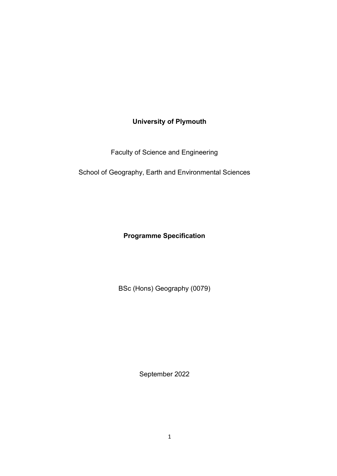## **University of Plymouth**

Faculty of Science and Engineering

School of Geography, Earth and Environmental Sciences

**Programme Specification**

BSc (Hons) Geography (0079)

September 2022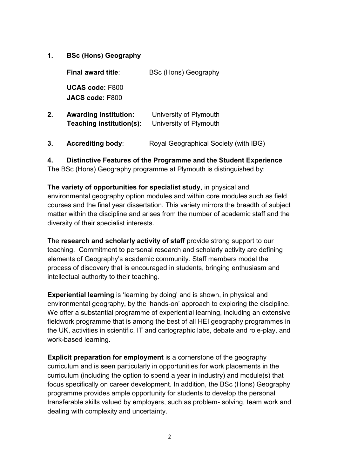#### **1. BSc (Hons) Geography**

|    | <b>Final award title:</b>                                | <b>BSc (Hons) Geography</b>                      |
|----|----------------------------------------------------------|--------------------------------------------------|
|    | <b>UCAS code: F800</b><br><b>JACS code: F800</b>         |                                                  |
| 2. | <b>Awarding Institution:</b><br>Teaching institution(s): | University of Plymouth<br>University of Plymouth |
| 3. | <b>Accrediting body:</b>                                 | Royal Geographical Society (with IBG)            |

**4. Distinctive Features of the Programme and the Student Experience** The BSc (Hons) Geography programme at Plymouth is distinguished by:

**The variety of opportunities for specialist study**, in physical and environmental geography option modules and within core modules such as field courses and the final year dissertation. This variety mirrors the breadth of subject matter within the discipline and arises from the number of academic staff and the diversity of their specialist interests.

The **research and scholarly activity of staff** provide strong support to our teaching. Commitment to personal research and scholarly activity are defining elements of Geography's academic community. Staff members model the process of discovery that is encouraged in students, bringing enthusiasm and intellectual authority to their teaching.

**Experiential learning** is 'learning by doing' and is shown, in physical and environmental geography, by the 'hands-on' approach to exploring the discipline. We offer a substantial programme of experiential learning, including an extensive fieldwork programme that is among the best of all HEI geography programmes in the UK, activities in scientific, IT and cartographic labs, debate and role-play, and work-based learning.

**Explicit preparation for employment** is a cornerstone of the geography curriculum and is seen particularly in opportunities for work placements in the curriculum (including the option to spend a year in industry) and module(s) that focus specifically on career development. In addition, the BSc (Hons) Geography programme provides ample opportunity for students to develop the personal transferable skills valued by employers, such as problem- solving, team work and dealing with complexity and uncertainty.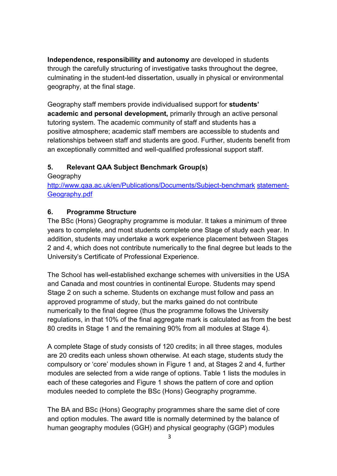**Independence, responsibility and autonomy** are developed in students through the carefully structuring of investigative tasks throughout the degree, culminating in the student-led dissertation, usually in physical or environmental geography, at the final stage.

Geography staff members provide individualised support for **students' academic and personal development,** primarily through an active personal tutoring system. The academic community of staff and students has a positive atmosphere; academic staff members are accessible to students and relationships between staff and students are good. Further, students benefit from an exceptionally committed and well-qualified professional support staff.

## **5. Relevant QAA Subject Benchmark Group(s)**

**Geography** [http://www.qaa.ac.uk/en/Publications/Documents/Subject-benchmark](http://www.qaa.ac.uk/en/Publications/Documents/Subject-benchmark%20statement-Geography.pdf) [statement-](http://www.qaa.ac.uk/en/Publications/Documents/Subject-benchmark%20statement-Geography.pdf)[Geography.pdf](http://www.qaa.ac.uk/en/Publications/Documents/Subject-benchmark%20statement-Geography.pdf)

### **6. Programme Structure**

The BSc (Hons) Geography programme is modular. It takes a minimum of three years to complete, and most students complete one Stage of study each year. In addition, students may undertake a work experience placement between Stages 2 and 4, which does not contribute numerically to the final degree but leads to the University's Certificate of Professional Experience.

The School has well-established exchange schemes with universities in the USA and Canada and most countries in continental Europe. Students may spend Stage 2 on such a scheme. Students on exchange must follow and pass an approved programme of study, but the marks gained do not contribute numerically to the final degree (thus the programme follows the University regulations, in that 10% of the final aggregate mark is calculated as from the best 80 credits in Stage 1 and the remaining 90% from all modules at Stage 4).

A complete Stage of study consists of 120 credits; in all three stages, modules are 20 credits each unless shown otherwise. At each stage, students study the compulsory or 'core' modules shown in Figure 1 and, at Stages 2 and 4, further modules are selected from a wide range of options. Table 1 lists the modules in each of these categories and Figure 1 shows the pattern of core and option modules needed to complete the BSc (Hons) Geography programme.

The BA and BSc (Hons) Geography programmes share the same diet of core and option modules. The award title is normally determined by the balance of human geography modules (GGH) and physical geography (GGP) modules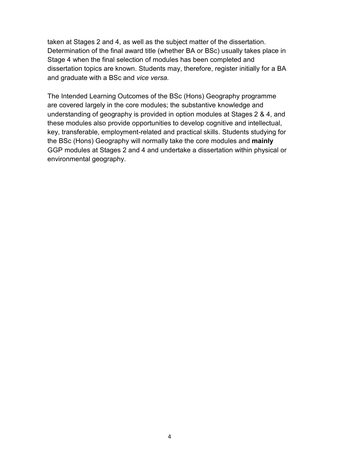taken at Stages 2 and 4, as well as the subject matter of the dissertation. Determination of the final award title (whether BA or BSc) usually takes place in Stage 4 when the final selection of modules has been completed and dissertation topics are known. Students may, therefore, register initially for a BA and graduate with a BSc and *vice versa.*

The Intended Learning Outcomes of the BSc (Hons) Geography programme are covered largely in the core modules; the substantive knowledge and understanding of geography is provided in option modules at Stages 2 & 4, and these modules also provide opportunities to develop cognitive and intellectual, key, transferable, employment-related and practical skills. Students studying for the BSc (Hons) Geography will normally take the core modules and **mainly** GGP modules at Stages 2 and 4 and undertake a dissertation within physical or environmental geography.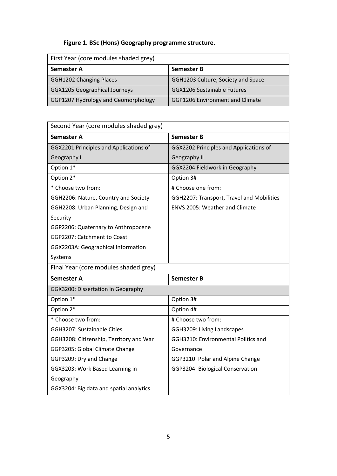## **Figure 1. BSc (Hons) Geography programme structure.**

| First Year (core modules shaded grey) |                                        |  |
|---------------------------------------|----------------------------------------|--|
| Semester A                            | Semester B                             |  |
| <b>GGH1202 Changing Places</b>        | GGH1203 Culture, Society and Space     |  |
| <b>GGX1205 Geographical Journeys</b>  | <b>GGX1206 Sustainable Futures</b>     |  |
| GGP1207 Hydrology and Geomorphology   | <b>GGP1206 Environment and Climate</b> |  |

| Second Year (core modules shaded grey)  |                                           |
|-----------------------------------------|-------------------------------------------|
| <b>Semester A</b>                       | <b>Semester B</b>                         |
| GGX2201 Principles and Applications of  | GGX2202 Principles and Applications of    |
| Geography I                             | Geography II                              |
| Option 1*                               | GGX2204 Fieldwork in Geography            |
| Option 2*                               | Option 3#                                 |
| * Choose two from:                      | # Choose one from:                        |
| GGH2206: Nature, Country and Society    | GGH2207: Transport, Travel and Mobilities |
| GGH2208: Urban Planning, Design and     | <b>ENVS 2005: Weather and Climate</b>     |
| Security                                |                                           |
| GGP2206: Quaternary to Anthropocene     |                                           |
| GGP2207: Catchment to Coast             |                                           |
| GGX2203A: Geographical Information      |                                           |
| Systems                                 |                                           |
| Final Year (core modules shaded grey)   |                                           |
| <b>Semester A</b>                       | <b>Semester B</b>                         |
| GGX3200: Dissertation in Geography      |                                           |
| Option 1*                               | Option 3#                                 |
| Option 2*                               | Option 4#                                 |
| * Choose two from:                      | # Choose two from:                        |
| GGH3207: Sustainable Cities             | GGH3209: Living Landscapes                |
| GGH3208: Citizenship, Territory and War | GGH3210: Environmental Politics and       |
| GGP3205: Global Climate Change          | Governance                                |
| GGP3209: Dryland Change                 | GGP3210: Polar and Alpine Change          |
| GGX3203: Work Based Learning in         | GGP3204: Biological Conservation          |
| Geography                               |                                           |
| GGX3204: Big data and spatial analytics |                                           |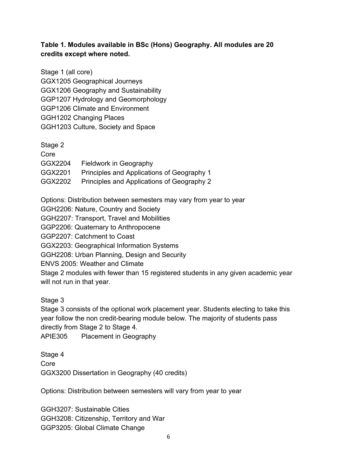#### **Table 1. Modules available in BSc (Hons) Geography. All modules are 20 credits except where noted.**

Stage 1 (all core) GGX1205 Geographical Journeys GGX1206 Geography and Sustainability GGP1207 Hydrology and Geomorphology GGP1206 Climate and Environment GGH1202 Changing Places GGH1203 Culture, Society and Space

#### Stage 2

| Fieldwork in Geography                     |
|--------------------------------------------|
| Principles and Applications of Geography 1 |
| Principles and Applications of Geography 2 |
|                                            |

Options: Distribution between semesters may vary from year to year

GGH2206: Nature, Country and Society

GGH2207: Transport, Travel and Mobilities

GGP2206: Quaternary to Anthropocene

GGP2207: Catchment to Coast

GGX2203: Geographical Information Systems

GGH2208: Urban Planning, Design and Security

ENVS 2005: Weather and Climate

Stage 2 modules with fewer than 15 registered students in any given academic year will not run in that year.

Stage 3

Stage 3 consists of the optional work placement year. Students electing to take this year follow the non credit-bearing module below. The majority of students pass directly from Stage 2 to Stage 4.

APIE305 Placement in Geography

Stage 4 Core GGX3200 Dissertation in Geography (40 credits)

Options: Distribution between semesters will vary from year to year

GGH3207: Sustainable Cities GGH3208: Citizenship, Territory and War GGP3205: Global Climate Change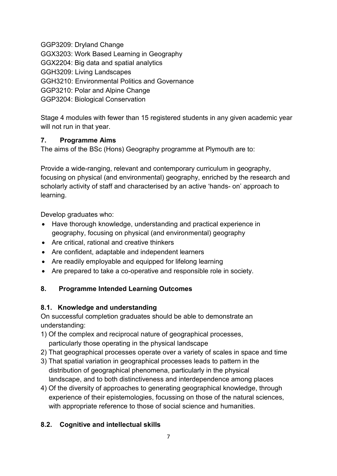GGP3209: Dryland Change GGX3203: Work Based Learning in Geography GGX2204: Big data and spatial analytics GGH3209: Living Landscapes GGH3210: Environmental Politics and Governance GGP3210: Polar and Alpine Change GGP3204: Biological Conservation

Stage 4 modules with fewer than 15 registered students in any given academic year will not run in that year.

#### **7. Programme Aims**

The aims of the BSc (Hons) Geography programme at Plymouth are to:

Provide a wide-ranging, relevant and contemporary curriculum in geography, focusing on physical (and environmental) geography, enriched by the research and scholarly activity of staff and characterised by an active 'hands- on' approach to learning.

Develop graduates who:

- Have thorough knowledge, understanding and practical experience in geography, focusing on physical (and environmental) geography
- Are critical, rational and creative thinkers
- Are confident, adaptable and independent learners
- Are readily employable and equipped for lifelong learning
- Are prepared to take a co-operative and responsible role in society.

### **8. Programme Intended Learning Outcomes**

#### **8.1. Knowledge and understanding**

On successful completion graduates should be able to demonstrate an understanding:

- 1) Of the complex and reciprocal nature of geographical processes, particularly those operating in the physical landscape
- 2) That geographical processes operate over a variety of scales in space and time
- 3) That spatial variation in geographical processes leads to pattern in the distribution of geographical phenomena, particularly in the physical landscape, and to both distinctiveness and interdependence among places
- 4) Of the diversity of approaches to generating geographical knowledge, through experience of their epistemologies, focussing on those of the natural sciences, with appropriate reference to those of social science and humanities.

### **8.2. Cognitive and intellectual skills**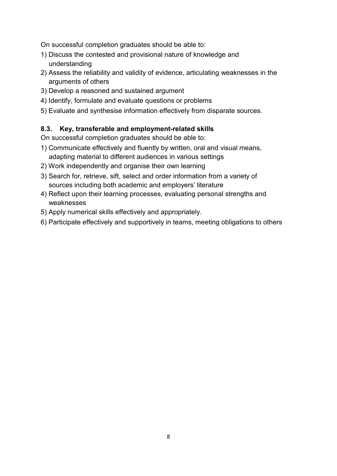On successful completion graduates should be able to:

- 1) Discuss the contested and provisional nature of knowledge and understanding
- 2) Assess the reliability and validity of evidence, articulating weaknesses in the arguments of others
- 3) Develop a reasoned and sustained argument
- 4) Identify, formulate and evaluate questions or problems
- 5) Evaluate and synthesise information effectively from disparate sources.

#### **8.3. Key, transferable and employment-related skills**

On successful completion graduates should be able to:

- 1) Communicate effectively and fluently by written, oral and visual means, adapting material to different audiences in various settings
- 2) Work independently and organise their own learning
- 3) Search for, retrieve, sift, select and order information from a variety of sources including both academic and employers' literature
- 4) Reflect upon their learning processes, evaluating personal strengths and weaknesses
- 5) Apply numerical skills effectively and appropriately.
- 6) Participate effectively and supportively in teams, meeting obligations to others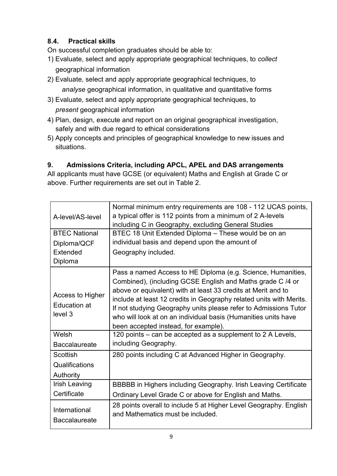## **8.4. Practical skills**

On successful completion graduates should be able to:

- 1) Evaluate, select and apply appropriate geographical techniques, to *collect* geographical information
- 2) Evaluate, select and apply appropriate geographical techniques, to *analyse* geographical information, in qualitative and quantitative forms
- 3) Evaluate, select and apply appropriate geographical techniques, to *present* geographical information
- 4) Plan, design, execute and report on an original geographical investigation, safely and with due regard to ethical considerations
- 5) Apply concepts and principles of geographical knowledge to new issues and situations.

## **9. Admissions Criteria, including APCL, APEL and DAS arrangements**

All applicants must have GCSE (or equivalent) Maths and English at Grade C or above. Further requirements are set out in Table 2.

| A-level/AS-level                                   | Normal minimum entry requirements are 108 - 112 UCAS points,<br>a typical offer is 112 points from a minimum of 2 A-levels<br>including C in Geography, excluding General Studies                                                                                                                                                                                                                                                                |
|----------------------------------------------------|--------------------------------------------------------------------------------------------------------------------------------------------------------------------------------------------------------------------------------------------------------------------------------------------------------------------------------------------------------------------------------------------------------------------------------------------------|
| <b>BTEC National</b>                               | BTEC 18 Unit Extended Diploma - These would be on an                                                                                                                                                                                                                                                                                                                                                                                             |
| Diploma/QCF                                        | individual basis and depend upon the amount of                                                                                                                                                                                                                                                                                                                                                                                                   |
| Extended                                           | Geography included.                                                                                                                                                                                                                                                                                                                                                                                                                              |
| Diploma                                            |                                                                                                                                                                                                                                                                                                                                                                                                                                                  |
| Access to Higher<br><b>Education at</b><br>level 3 | Pass a named Access to HE Diploma (e.g. Science, Humanities,<br>Combined), (including GCSE English and Maths grade C /4 or<br>above or equivalent) with at least 33 credits at Merit and to<br>include at least 12 credits in Geography related units with Merits.<br>If not studying Geography units please refer to Admissions Tutor<br>who will look at on an individual basis (Humanities units have<br>been accepted instead, for example). |
| Welsh<br><b>Baccalaureate</b>                      | 120 points - can be accepted as a supplement to 2 A Levels,<br>including Geography.                                                                                                                                                                                                                                                                                                                                                              |
| <b>Scottish</b>                                    | 280 points including C at Advanced Higher in Geography.                                                                                                                                                                                                                                                                                                                                                                                          |
| Qualifications                                     |                                                                                                                                                                                                                                                                                                                                                                                                                                                  |
| Authority                                          |                                                                                                                                                                                                                                                                                                                                                                                                                                                  |
| Irish Leaving                                      | BBBBB in Highers including Geography. Irish Leaving Certificate                                                                                                                                                                                                                                                                                                                                                                                  |
| Certificate                                        | Ordinary Level Grade C or above for English and Maths.                                                                                                                                                                                                                                                                                                                                                                                           |
| International<br><b>Baccalaureate</b>              | 28 points overall to include 5 at Higher Level Geography. English<br>and Mathematics must be included.                                                                                                                                                                                                                                                                                                                                           |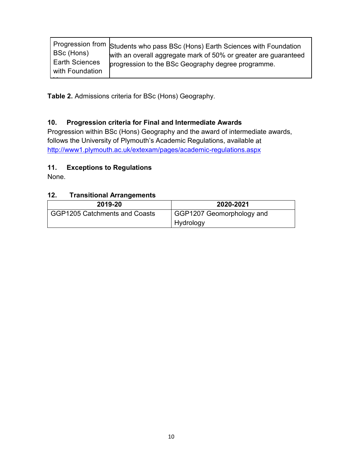**Table 2.** Admissions criteria for BSc (Hons) Geography.

#### **10. Progression criteria for Final and Intermediate Awards**

Progression within BSc (Hons) Geography and the award of intermediate awards, follows the University of Plymouth's Academic Regulations, available at <http://www1.plymouth.ac.uk/extexam/pages/academic-regulations.aspx>

## **11. Exceptions to Regulations**

None.

#### **12. Transitional Arrangements**

| 2019-20                       | 2020-2021                              |
|-------------------------------|----------------------------------------|
| GGP1205 Catchments and Coasts | GGP1207 Geomorphology and<br>Hydrology |
|                               |                                        |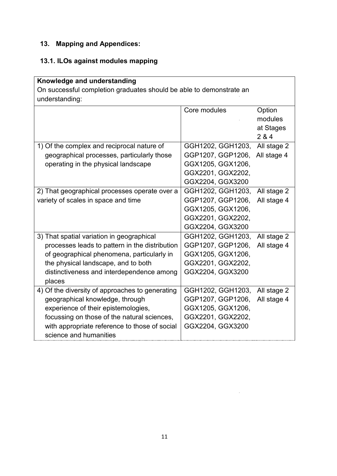# **13. Mapping and Appendices:**

## **13.1. ILOs against modules mapping**

| Knowledge and understanding                                         |                   |                                         |  |
|---------------------------------------------------------------------|-------------------|-----------------------------------------|--|
| On successful completion graduates should be able to demonstrate an |                   |                                         |  |
| understanding:                                                      |                   |                                         |  |
|                                                                     | Core modules      | Option<br>modules<br>at Stages<br>2 & 4 |  |
| 1) Of the complex and reciprocal nature of                          | GGH1202, GGH1203, | All stage 2                             |  |
| geographical processes, particularly those                          | GGP1207, GGP1206, | All stage 4                             |  |
| operating in the physical landscape                                 | GGX1205, GGX1206, |                                         |  |
|                                                                     | GGX2201, GGX2202, |                                         |  |
|                                                                     | GGX2204, GGX3200  |                                         |  |
| 2) That geographical processes operate over a                       | GGH1202, GGH1203, | All stage 2                             |  |
| variety of scales in space and time                                 | GGP1207, GGP1206, | All stage 4                             |  |
|                                                                     | GGX1205, GGX1206, |                                         |  |
|                                                                     | GGX2201, GGX2202, |                                         |  |
|                                                                     | GGX2204, GGX3200  |                                         |  |
| 3) That spatial variation in geographical                           | GGH1202, GGH1203, | All stage 2                             |  |
| processes leads to pattern in the distribution                      | GGP1207, GGP1206, | All stage 4                             |  |
| of geographical phenomena, particularly in                          | GGX1205, GGX1206, |                                         |  |
| the physical landscape, and to both                                 | GGX2201, GGX2202, |                                         |  |
| distinctiveness and interdependence among                           | GGX2204, GGX3200  |                                         |  |
| places                                                              |                   |                                         |  |
| 4) Of the diversity of approaches to generating                     | GGH1202, GGH1203, | All stage 2                             |  |
| geographical knowledge, through                                     | GGP1207, GGP1206, | All stage 4                             |  |
| experience of their epistemologies,                                 | GGX1205, GGX1206, |                                         |  |
| focussing on those of the natural sciences,                         | GGX2201, GGX2202, |                                         |  |
| with appropriate reference to those of social                       | GGX2204, GGX3200  |                                         |  |
| science and humanities                                              |                   |                                         |  |

 $\bar{\beta}$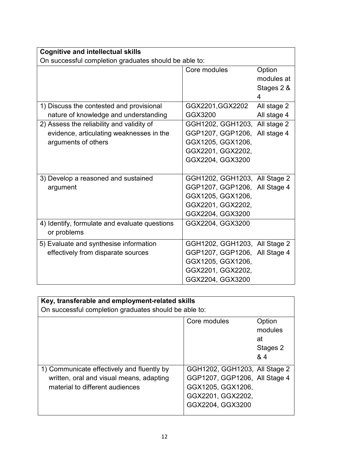| <b>Cognitive and intellectual skills</b>              |                   |             |  |
|-------------------------------------------------------|-------------------|-------------|--|
| On successful completion graduates should be able to: |                   |             |  |
|                                                       | Core modules      | Option      |  |
|                                                       |                   | modules at  |  |
|                                                       |                   | Stages 2 &  |  |
|                                                       |                   | 4           |  |
| 1) Discuss the contested and provisional              | GGX2201, GGX2202  | All stage 2 |  |
| nature of knowledge and understanding                 | GGX3200           | All stage 4 |  |
| 2) Assess the reliability and validity of             | GGH1202, GGH1203, | All stage 2 |  |
| evidence, articulating weaknesses in the              | GGP1207, GGP1206, | All stage 4 |  |
| arguments of others                                   | GGX1205, GGX1206, |             |  |
|                                                       | GGX2201, GGX2202, |             |  |
|                                                       | GGX2204, GGX3200  |             |  |
|                                                       |                   |             |  |
| 3) Develop a reasoned and sustained                   | GGH1202, GGH1203, | All Stage 2 |  |
| argument                                              | GGP1207, GGP1206, | All Stage 4 |  |
|                                                       | GGX1205, GGX1206, |             |  |
|                                                       | GGX2201, GGX2202, |             |  |
|                                                       | GGX2204, GGX3200  |             |  |
| 4) Identify, formulate and evaluate questions         | GGX2204, GGX3200  |             |  |
| or problems                                           |                   |             |  |
| 5) Evaluate and synthesise information                | GGH1202, GGH1203, | All Stage 2 |  |
| effectively from disparate sources                    | GGP1207, GGP1206, | All Stage 4 |  |
|                                                       | GGX1205, GGX1206, |             |  |
|                                                       | GGX2201, GGX2202, |             |  |
|                                                       | GGX2204, GGX3200  |             |  |

| Key, transferable and employment-related skills<br>On successful completion graduates should be able to:                  |                                                                                                                              |                                            |  |
|---------------------------------------------------------------------------------------------------------------------------|------------------------------------------------------------------------------------------------------------------------------|--------------------------------------------|--|
|                                                                                                                           | Core modules                                                                                                                 | Option<br>modules<br>at<br>Stages 2<br>& 4 |  |
| 1) Communicate effectively and fluently by<br>written, oral and visual means, adapting<br>material to different audiences | GGH1202, GGH1203, All Stage 2<br>GGP1207, GGP1206, All Stage 4<br>GGX1205, GGX1206,<br>GGX2201, GGX2202,<br>GGX2204, GGX3200 |                                            |  |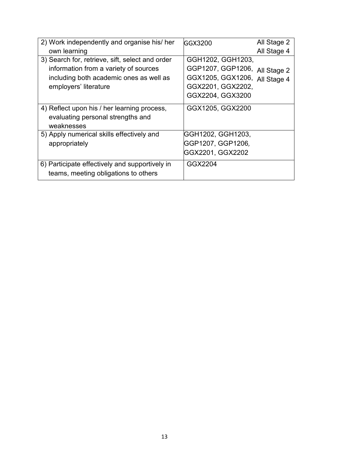| 2) Work independently and organise his/ her     | GGX3200                   | All Stage 2 |
|-------------------------------------------------|---------------------------|-------------|
| own learning                                    |                           | All Stage 4 |
| 3) Search for, retrieve, sift, select and order | GGH1202, GGH1203,         |             |
| information from a variety of sources           | GGP1207, GGP1206,         | All Stage 2 |
| including both academic ones as well as         | GGX1205, GGX1206,         | All Stage 4 |
| employers' literature                           | GGX2201, GGX2202,         |             |
|                                                 | GGX2204, GGX3200          |             |
| 4) Reflect upon his / her learning process,     | GGX1205, GGX2200          |             |
| evaluating personal strengths and               |                           |             |
| weaknesses                                      |                           |             |
| 5) Apply numerical skills effectively and       | GGH1202, GGH1203,         |             |
| appropriately                                   | GGP1207, GGP1206 <i>,</i> |             |
|                                                 | GGX2201, GGX2202          |             |
| 6) Participate effectively and supportively in  | GGX2204                   |             |
| teams, meeting obligations to others            |                           |             |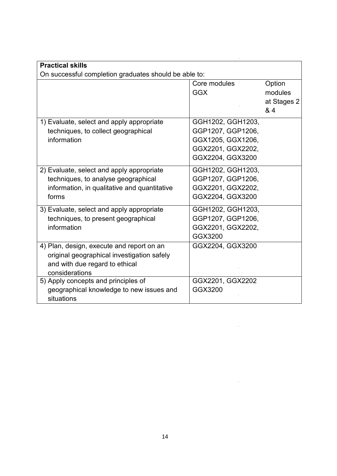| <b>Practical skills</b>                               |                   |             |
|-------------------------------------------------------|-------------------|-------------|
| On successful completion graduates should be able to: |                   |             |
|                                                       | Core modules      | Option      |
|                                                       | <b>GGX</b>        | modules     |
|                                                       |                   | at Stages 2 |
|                                                       |                   | & 4         |
| 1) Evaluate, select and apply appropriate             | GGH1202, GGH1203, |             |
| techniques, to collect geographical                   | GGP1207, GGP1206, |             |
| information                                           | GGX1205, GGX1206, |             |
|                                                       | GGX2201, GGX2202, |             |
|                                                       | GGX2204, GGX3200  |             |
| 2) Evaluate, select and apply appropriate             | GGH1202, GGH1203, |             |
| techniques, to analyse geographical                   | GGP1207, GGP1206, |             |
| information, in qualitative and quantitative          | GGX2201, GGX2202, |             |
| forms                                                 | GGX2204, GGX3200  |             |
| 3) Evaluate, select and apply appropriate             | GGH1202, GGH1203, |             |
| techniques, to present geographical                   | GGP1207, GGP1206, |             |
| information                                           | GGX2201, GGX2202, |             |
|                                                       | GGX3200           |             |
| 4) Plan, design, execute and report on an             | GGX2204, GGX3200  |             |
| original geographical investigation safely            |                   |             |
| and with due regard to ethical                        |                   |             |
| considerations                                        |                   |             |
| 5) Apply concepts and principles of                   | GGX2201, GGX2202  |             |
| geographical knowledge to new issues and              | GGX3200           |             |
| situations                                            |                   |             |

 $\mathcal{L}^{\text{max}}_{\text{max}}$ 

 $\label{eq:2.1} \frac{1}{\sqrt{2}}\left(\frac{1}{\sqrt{2}}\right)^{2} \left(\frac{1}{\sqrt{2}}\right)^{2} \left(\frac{1}{\sqrt{2}}\right)^{2} \left(\frac{1}{\sqrt{2}}\right)^{2} \left(\frac{1}{\sqrt{2}}\right)^{2} \left(\frac{1}{\sqrt{2}}\right)^{2} \left(\frac{1}{\sqrt{2}}\right)^{2} \left(\frac{1}{\sqrt{2}}\right)^{2} \left(\frac{1}{\sqrt{2}}\right)^{2} \left(\frac{1}{\sqrt{2}}\right)^{2} \left(\frac{1}{\sqrt{2}}\right)^{2} \left(\$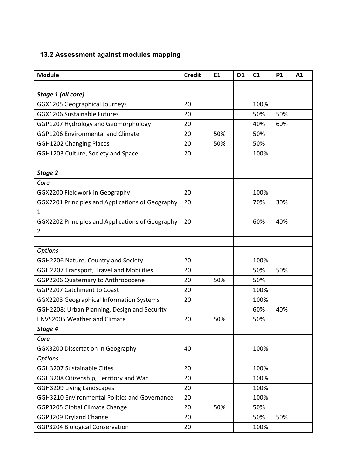## **13.2 Assessment against modules mapping**

| <b>Module</b>                                    | <b>Credit</b> | E1  | 01 | C1   | <b>P1</b> | A1 |
|--------------------------------------------------|---------------|-----|----|------|-----------|----|
|                                                  |               |     |    |      |           |    |
| Stage 1 (all core)                               |               |     |    |      |           |    |
| <b>GGX1205 Geographical Journeys</b>             | 20            |     |    | 100% |           |    |
| <b>GGX1206 Sustainable Futures</b>               | 20            |     |    | 50%  | 50%       |    |
| GGP1207 Hydrology and Geomorphology              | 20            |     |    | 40%  | 60%       |    |
| GGP1206 Environmental and Climate                | 20            | 50% |    | 50%  |           |    |
| <b>GGH1202 Changing Places</b>                   | 20            | 50% |    | 50%  |           |    |
| GGH1203 Culture, Society and Space               | 20            |     |    | 100% |           |    |
|                                                  |               |     |    |      |           |    |
| <b>Stage 2</b>                                   |               |     |    |      |           |    |
| Core                                             |               |     |    |      |           |    |
| GGX2200 Fieldwork in Geography                   | 20            |     |    | 100% |           |    |
| GGX2201 Principles and Applications of Geography | 20            |     |    | 70%  | 30%       |    |
| 1                                                |               |     |    |      |           |    |
| GGX2202 Principles and Applications of Geography | 20            |     |    | 60%  | 40%       |    |
| $\overline{2}$                                   |               |     |    |      |           |    |
|                                                  |               |     |    |      |           |    |
| <b>Options</b>                                   |               |     |    |      |           |    |
| GGH2206 Nature, Country and Society              | 20            |     |    | 100% |           |    |
| GGH2207 Transport, Travel and Mobilities         | 20            |     |    | 50%  | 50%       |    |
| GGP2206 Quaternary to Anthropocene               | 20            | 50% |    | 50%  |           |    |
| <b>GGP2207 Catchment to Coast</b>                | 20            |     |    | 100% |           |    |
| GGX2203 Geographical Information Systems         | 20            |     |    | 100% |           |    |
| GGH2208: Urban Planning, Design and Security     |               |     |    | 60%  | 40%       |    |
| <b>ENVS2005 Weather and Climate</b>              | 20            | 50% |    | 50%  |           |    |
| Stage 4                                          |               |     |    |      |           |    |
| Core                                             |               |     |    |      |           |    |
| GGX3200 Dissertation in Geography                | 40            |     |    | 100% |           |    |
| <b>Options</b>                                   |               |     |    |      |           |    |
| <b>GGH3207 Sustainable Cities</b>                | 20            |     |    | 100% |           |    |
| GGH3208 Citizenship, Territory and War           | 20            |     |    | 100% |           |    |
| GGH3209 Living Landscapes                        | 20            |     |    | 100% |           |    |
| GGH3210 Environmental Politics and Governance    | 20            |     |    | 100% |           |    |
| GGP3205 Global Climate Change                    | 20            | 50% |    | 50%  |           |    |
| GGP3209 Dryland Change                           | 20            |     |    | 50%  | 50%       |    |
| GGP3204 Biological Conservation                  | 20            |     |    | 100% |           |    |